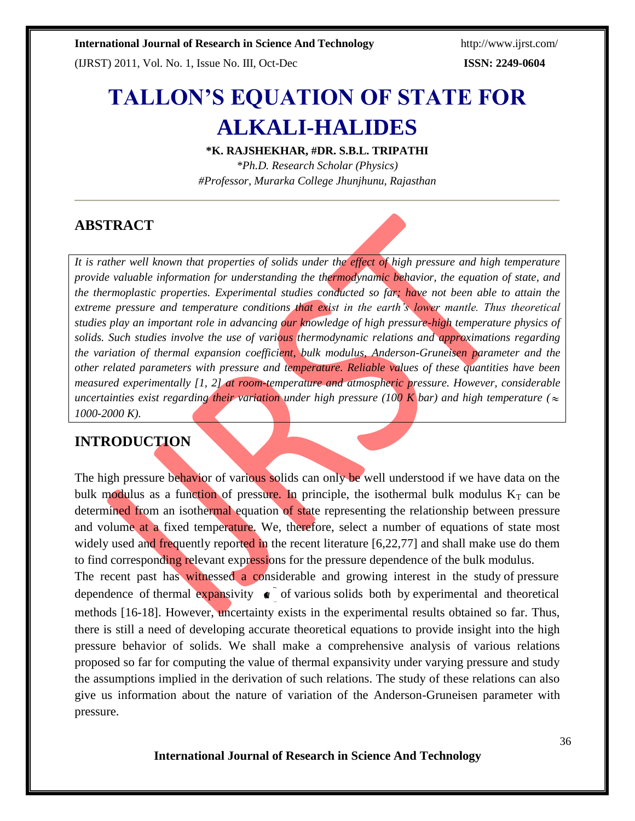(IJRST) 2011, Vol. No. 1, Issue No. III, Oct-Dec **ISSN: 2249-0604**

# **TALLON'S EQUATION OF STATE FOR ALKALI-HALIDES**

**\*K. RAJSHEKHAR, #DR. S.B.L. TRIPATHI**

*\*Ph.D. Research Scholar (Physics) #Professor, Murarka College Jhunjhunu, Rajasthan*

# **ABSTRACT**

*It is rather well known that properties of solids under the effect of high pressure and high temperature provide valuable information for understanding the thermodynamic behavior, the equation of state, and the thermoplastic properties. Experimental studies conducted so far; have not been able to attain the extreme pressure and temperature conditions that exist in the earth's lower mantle. Thus theoretical studies play an important role in advancing our knowledge of high pressure-high temperature physics of solids. Such studies involve the use of various thermodynamic relations and approximations regarding the variation of thermal expansion coefficient, bulk modulus, Anderson-Gruneisen parameter and the other related parameters with pressure and temperature. Reliable values of these quantities have been measured experimentally [1, 2] at room-temperature and atmospheric pressure. However, considerable ancertainties exist regarding their variation under high pressure* (100 *K bar*) *and high temperature* ( $\approx$ *1000-2000 K).*

# **INTRODUCTION**

The high pressure behavior of various solids can only be well understood if we have data on the bulk modulus as a function of pressure. In principle, the isothermal bulk modulus  $K_T$  can be determined from an isothermal equation of state representing the relationship between pressure and volume at a fixed temperature. We, therefore, select a number of equations of state most widely used and frequently reported in the recent literature [6,22,77] and shall make use do them to find corresponding relevant expressions for the pressure dependence of the bulk modulus.

dependence of thermal expansivity  $\bullet$  of various solids both by experimental and theoretical The recent past has witnessed a considerable and growing interest in the study of pressure methods [16-18]. However, uncertainty exists in the experimental results obtained so far. Thus, there is still a need of developing accurate theoretical equations to provide insight into the high pressure behavior of solids. We shall make a comprehensive analysis of various relations proposed so far for computing the value of thermal expansivity under varying pressure and study the assumptions implied in the derivation of such relations. The study of these relations can also give us information about the nature of variation of the Anderson-Gruneisen parameter with pressure.

**International Journal of Research in Science And Technology**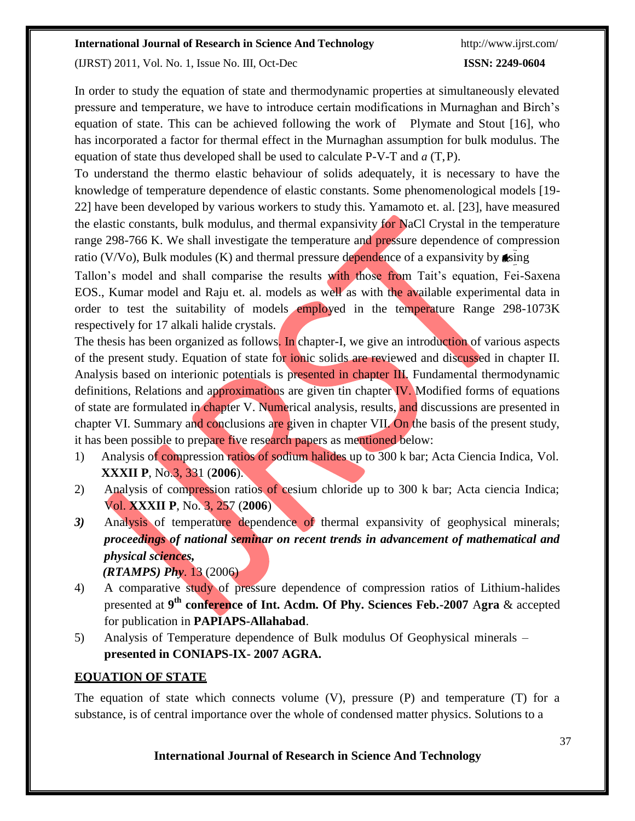(IJRST) 2011, Vol. No. 1, Issue No. III, Oct-Dec **ISSN: 2249-0604**

In order to study the equation of state and thermodynamic properties at simultaneously elevated pressure and temperature, we have to introduce certain modifications in Murnaghan and Birch's equation of state. This can be achieved following the work of Plymate and Stout [16], who has incorporated a factor for thermal effect in the Murnaghan assumption for bulk modulus. The equation of state thus developed shall be used to calculate P-V-T and *a* (T,P).

To understand the thermo elastic behaviour of solids adequately, it is necessary to have the knowledge of temperature dependence of elastic constants. Some phenomenological models [19- 22] have been developed by various workers to study this. Yamamoto et. al. [23], have measured the elastic constants, bulk modulus, and thermal expansivity for NaCl Crystal in the temperature range 298-766 K. We shall investigate the temperature and **pressure** dependence of compression ratio (V/Vo), Bulk modules (K) and thermal pressure dependence of a expansivity by the sing

Tallon's model and shall comparise the results with those from Tait's equation, Fei-Saxena EOS., Kumar model and Raju et. al. models as well as with the available experimental data in order to test the suitability of models employed in the temperature Range 298-1073K respectively for 17 alkali halide crystals.

The thesis has been organized as follows. In chapter-I, we give an introduction of various aspects of the present study. Equation of state for ionic solids are reviewed and discussed in chapter II. Analysis based on interionic potentials is presented in chapter III. Fundamental thermodynamic definitions, Relations and approximations are given tin chapter IV. Modified forms of equations of state are formulated in chapter V. Numerical analysis, results, and discussions are presented in chapter VI. Summary and conclusions are given in chapter VII. On the basis of the present study, it has been possible to prepare five research papers as mentioned below:

- 1) Analysis of compression ratios of sodium halides up to 300 k bar; Acta Ciencia Indica, Vol. **XXXII P**, No.3, 331 (**2006**).
- 2) Analysis of compression ratios of cesium chloride up to 300 k bar; Acta ciencia Indica; Vol. **XXXII P**, No. 3, 257 (**2006**)
- *3)* Analysis of temperature dependence of thermal expansivity of geophysical minerals; *proceedings of national seminar on recent trends in advancement of mathematical and physical sciences, (RTAMPS) Phy*. 13 (2006)
- 4) A comparative study of pressure dependence of compression ratios of Lithium-halides presented at **9 th conference of Int. Acdm. Of Phy. Sciences Feb.-2007** A**gra** & accepted for publication in **PAPIAPS-Allahabad**.
- 5) Analysis of Temperature dependence of Bulk modulus Of Geophysical minerals **presented in CONIAPS-IX- 2007 AGRA.**

# **EQUATION OF STATE**

The equation of state which connects volume (V), pressure (P) and temperature (T) for a substance, is of central importance over the whole of condensed matter physics. Solutions to a

### **International Journal of Research in Science And Technology**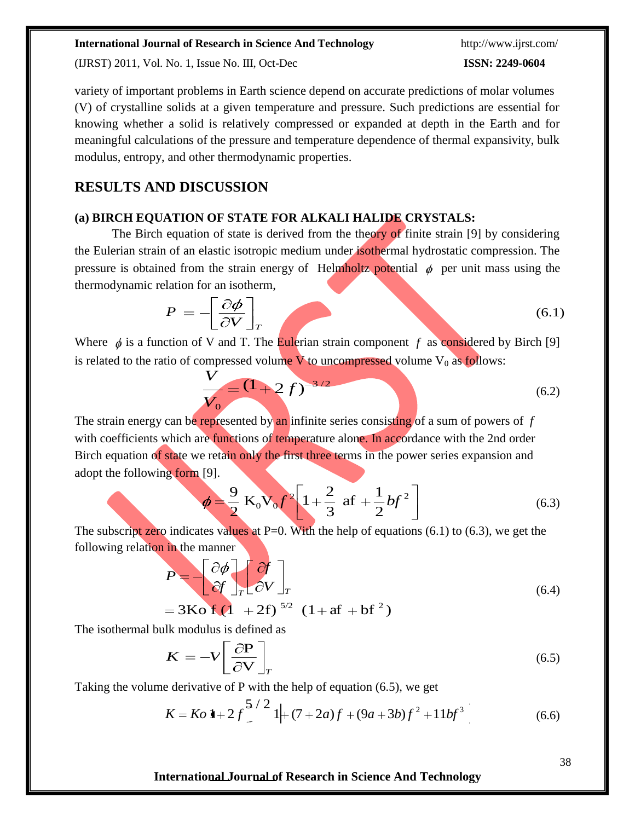(IJRST) 2011, Vol. No. 1, Issue No. III, Oct-Dec **ISSN: 2249-0604**

variety of important problems in Earth science depend on accurate predictions of molar volumes (V) of crystalline solids at a given temperature and pressure. Such predictions are essential for knowing whether a solid is relatively compressed or expanded at depth in the Earth and for meaningful calculations of the pressure and temperature dependence of thermal expansivity, bulk modulus, entropy, and other thermodynamic properties.

## **RESULTS AND DISCUSSION**

### **(a) BIRCH EQUATION OF STATE FOR ALKALI HALIDE CRYSTALS:**

The Birch equation of state is derived from the theory of finite strain [9] by considering the Eulerian strain of an elastic isotropic medium under isothermal hydrostatic compression. The pressure is obtained from the strain energy of Helmholtz potential  $\phi$  per unit mass using the thermodynamic relation for an isotherm,

$$
P = -\left[\frac{\partial \phi}{\partial V}\right]_T\tag{6.1}
$$

Where  $\phi$  is a function of V and T. The Eulerian strain component *f* as considered by Birch [9] is related to the ratio of compressed volume  $V$  to uncompressed volume  $V_0$  as follows:

$$
\frac{V}{V_0} = (1+2f)^{-3/2}
$$
 (6.2)

The strain energy can be represented by an infinite series consisting of a sum of powers of *f*  with coefficients which are functions of temperature alone. In accordance with the 2nd order Birch equation of state we retain only the first three terms in the power series expansion and adopt the following form [9].

$$
b = \frac{9}{2} \text{ K}_0 \text{V}_0 f^2 \left[ 1 + \frac{2}{3} \text{ af } + \frac{1}{2} b f^2 \right]
$$
 (6.3)

The subscript zero indicates values at P=0. With the help of equations  $(6.1)$  to  $(6.3)$ , we get the following relation in the manner

$$
P = \begin{bmatrix} \partial \phi \\ \partial f \end{bmatrix}_T \begin{bmatrix} \partial f \\ \partial V \end{bmatrix}_T
$$
  
= 3Kof (1 + 2f)<sup>5/2</sup> (1 + af + bf<sup>2</sup>)

The isothermal bulk modulus is defined as

$$
K = -V \left[ \frac{\partial P}{\partial V} \right]_T \tag{6.5}
$$

Taking the volume derivative of P with the help of equation (6.5), we get

$$
K = Ko \ 1 + 2f \frac{5}{2} \ 1 + (7 + 2a)f + (9a + 3b)f^{2} + 11bf^{3}
$$
 (6.6)

**International Journal of Research in Science And Technology**

38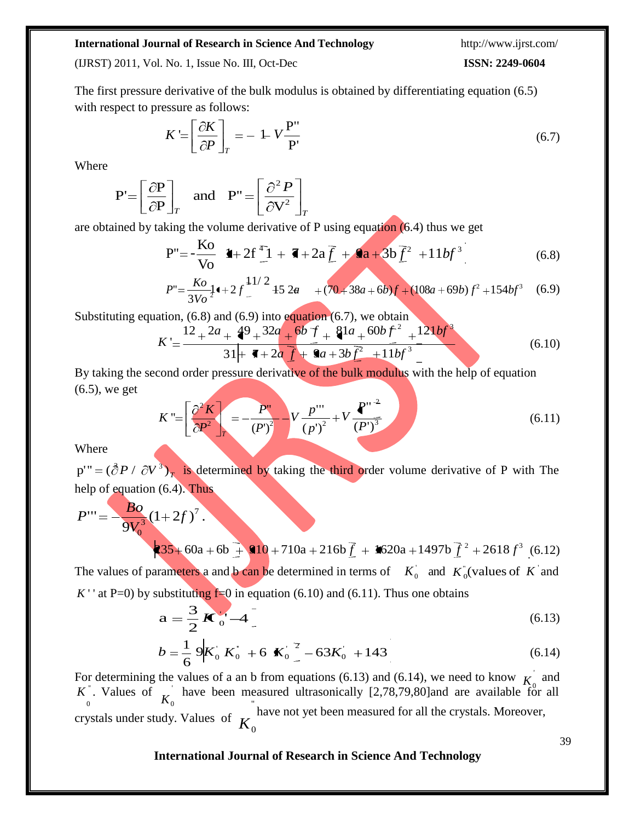(IJRST) 2011, Vol. No. 1, Issue No. III, Oct-Dec **ISSN: 2249-0604**

The first pressure derivative of the bulk modulus is obtained by differentiating equation (6.5) with respect to pressure as follows:

$$
K = \left[\frac{\partial K}{\partial P}\right]_T = -1 - V \frac{P''}{P'}
$$
\n(6.7)

Where

$$
\mathbf{P}' = \left[\frac{\partial \mathbf{P}}{\partial \mathbf{P}}\right]_T \quad \text{and} \quad \mathbf{P}'' = \left[\frac{\partial^2 P}{\partial \mathbf{V}^2}\right]_T
$$

are obtained by taking the volume derivative of P using equation (6.4) thus we get

$$
P'' = -\frac{Ko}{Vo} \quad \bullet + 2f \frac{d}{dr} + 3h \bar{f} + 2a \bar{f} + 3h \bar{f}^2 + 11bf^3
$$
 (6.8)

$$
P'' = \frac{Ko}{3Vo^2} \mathbf{1} + 2f \frac{11}{2} + 52a + (70 + 38a + 6b)f + (108a + 69b)f^2 + 154bf^3 \tag{6.9}
$$

Substituting equation,  $(6.8)$  and  $(6.9)$  into equation  $(6.7)$ , we obtain

$$
K = \frac{12 + 2a + 49 + 32a + 6b + 81a + 60b + 24 + 121bf^3}{31 + 12a + 12a + 12b + 12b} = \frac{12 + 2a + 49 + 32a + 121bf^3}{5}
$$
(6.10)

By taking the second order pressure derivative of the bulk modulus with the help of equation (6.5), we get

$$
K = \left[\frac{\partial^2 K}{\partial P^2}\right]_T = -\frac{P^2}{(P^2)^2} - V\frac{p^{1/2}}{(p^2)^2} + V\frac{P^{1/2}}{(P^2)^3}
$$
(6.11)

Where

 $p'' = (\partial P / \partial V^3)_T$  is determined by taking the third order volume derivative of P with The help of equation (6.4). Thus

$$
P''' = -\frac{Bo}{9V_0^3} (1 + 2f)^7.
$$
  
235 + 60a + 6b + 910 + 710a + 216b $f$  + 9620a + 1497b $f^2$  + 2618 $f^3$  (6.12)

The values of parameters a and b can be determined in terms of  $K_0$  and  $K_0$  (values of *K* and *K* ' at P=0) by substituting  $f=0$  in equation (6.10) and (6.11). Thus one obtains

$$
\mathbf{a} = \frac{3}{2} \mathbf{K}_0 - 4 \tag{6.13}
$$

$$
b = \frac{1}{6} 9K_0 K_0^{\dagger} + 6 K_0^2 - 63K_0^{\dagger} + 143
$$
 (6.14)

*K*  $\frac{0}{0}$   $\kappa$ 0 0 0 For determining the values of a an b from equations (6.13) and (6.14), we need to know  $\overrightarrow{k}$  and K<sup>"</sup>. Values of  $\bar{K}$  have been measured ultrasonically [2,78,79,80]and are available for all crystals under study. Values of have not yet been measured for all the crystals. Moreover, *K*

### **International Journal of Research in Science And Technology**

39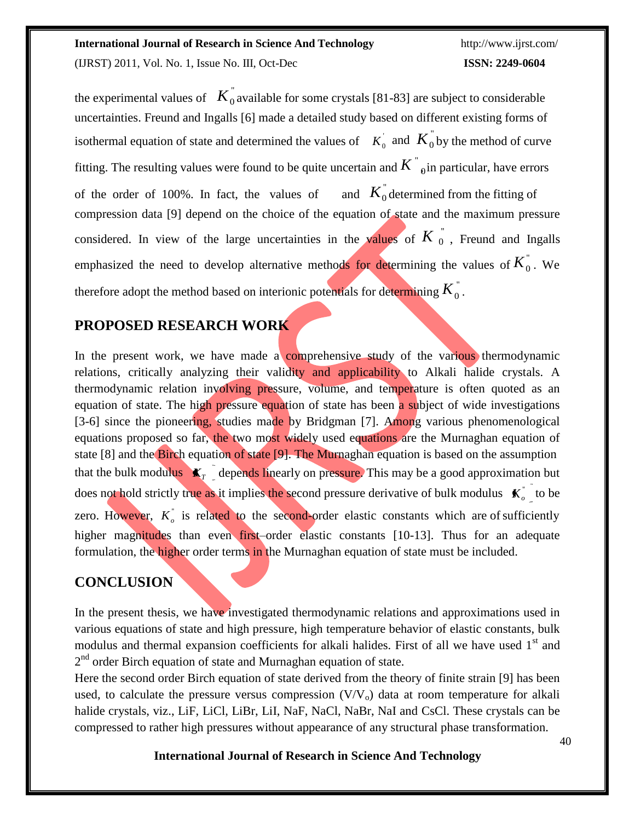(IJRST) 2011, Vol. No. 1, Issue No. III, Oct-Dec **ISSN: 2249-0604**

fitting. The resulting values were found to be quite uncertain and  $K^{''}_{\;\;\;0}$ in particular, have errors considered. In view of the large uncertainties in the values of  $K_{0}^{\prime\prime}$ , Freund and Ingalls emphasized the need to develop alternative methods for determining the values of  $K_{0}^{''}$ . We therefore adopt the method based on interionic potentials for determining  $\overline{K}_{0}^{''}$  . the experimental values of  $K_0^{\dagger}$  available for some crystals [81-83] are subject to considerable isothermal equation of state and determined the values of  $K_0^+$  and  $K_0^+$  by the method of curve  $K_0^"$ uncertainties. Freund and Ingalls [6] made a detailed study based on different existing forms of of the order of  $100\%$ . In fact, the values of compression data [9] depend on the choice of the equation of state and the maximum pressure

# **PROPOSED RESEARCH WORK**

does not hold strictly true as it implies the second pressure derivative of bulk modulus  $K_o$ <sup>-</sup> to be zero. However,  $K_o^{\dagger}$  is related to the second-order elastic constants which are of sufficiently In the present work, we have made a comprehensive study of the various thermodynamic relations, critically analyzing their validity and applicability to Alkali halide crystals. A thermodynamic relation involving pressure, volume, and temperature is often quoted as an equation of state. The high pressure equation of state has been a subject of wide investigations [3-6] since the pioneering, studies made by Bridgman [7]. Among various phenomenological equations proposed so far, the two most widely used equations are the Murnaghan equation of state [8] and the Birch equation of state [9]. The Murnaghan equation is based on the assumption that the bulk modulus  $\mathbf{K}_T$  depends linearly on pressure. This may be a good approximation but higher magnitudes than even first–order elastic constants [10-13]. Thus for an adequate formulation, the higher order terms in the Murnaghan equation of state must be included.

# **CONCLUSION**

In the present thesis, we have investigated thermodynamic relations and approximations used in various equations of state and high pressure, high temperature behavior of elastic constants, bulk modulus and thermal expansion coefficients for alkali halides. First of all we have used  $1<sup>st</sup>$  and 2<sup>nd</sup> order Birch equation of state and Murnaghan equation of state.

Here the second order Birch equation of state derived from the theory of finite strain [9] has been used, to calculate the pressure versus compression  $(V/V_0)$  data at room temperature for alkali halide crystals, viz., LiF, LiCl, LiBr, LiI, NaF, NaCl, NaBr, NaI and CsCl. These crystals can be compressed to rather high pressures without appearance of any structural phase transformation.

**International Journal of Research in Science And Technology**